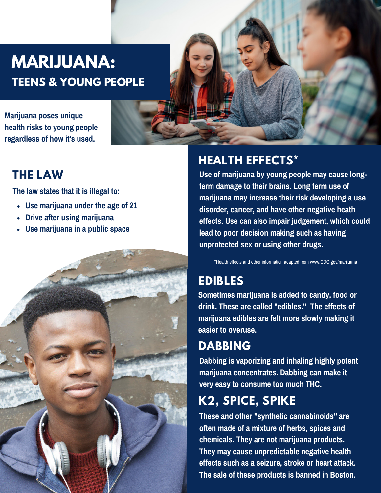

- $\mathbf{I}2$ L.
- $\ddot{\bullet}$  $\cdot$  C 2
	- $\cdot$  M
	- $\overline{\cdot}$  c



## **22\*T20II**<br>E E  $\overline{E}$  $\pmb{\theta}$  $\bullet$  $CDC$ \*E. **\*T\*TN2?I2** Ţ A  $\overline{\phantom{a}}$ E Ĺ **2T** Ē.  $<sup>E</sup>$  THC</sup> K2, SPICE, SPIKE E  $\mathbf{L}$  $\overline{\mathbf{B}}$